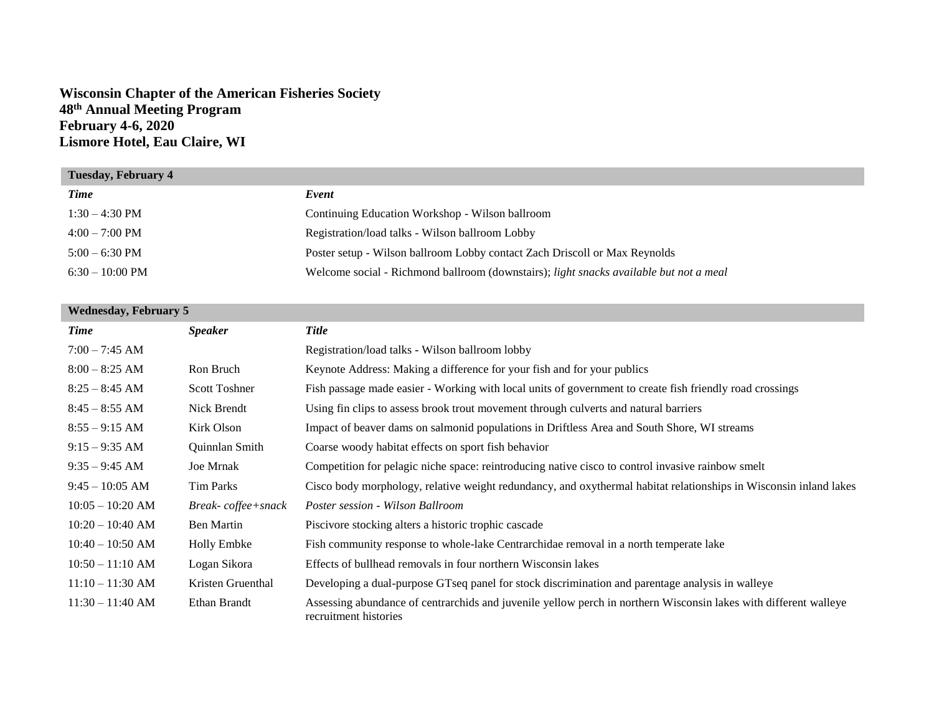## **Wisconsin Chapter of the American Fisheries Society 48 th Annual Meeting Program February 4-6, 2020 Lismore Hotel, Eau Claire, WI**

| <b>Tuesday, February 4</b> |                                                                                        |
|----------------------------|----------------------------------------------------------------------------------------|
| Time                       | Event                                                                                  |
| $1:30 - 4:30 \text{ PM}$   | Continuing Education Workshop - Wilson ballroom                                        |
| $4:00 - 7:00$ PM           | Registration/load talks - Wilson ballroom Lobby                                        |
| $5:00 - 6:30 \text{ PM}$   | Poster setup - Wilson ballroom Lobby contact Zach Driscoll or Max Reynolds             |
| $6:30-10:00$ PM            | Welcome social - Richmond ballroom (downstairs); light snacks available but not a meal |
|                            |                                                                                        |

## **Wednesday, February 5**

| Time               | <b>Speaker</b>     | <b>Title</b>                                                                                                                              |
|--------------------|--------------------|-------------------------------------------------------------------------------------------------------------------------------------------|
| $7:00 - 7:45$ AM   |                    | Registration/load talks - Wilson ballroom lobby                                                                                           |
| $8:00 - 8:25$ AM   | Ron Bruch          | Keynote Address: Making a difference for your fish and for your publics                                                                   |
| $8:25 - 8:45$ AM   | Scott Toshner      | Fish passage made easier - Working with local units of government to create fish friendly road crossings                                  |
| $8:45 - 8:55$ AM   | Nick Brendt        | Using fin clips to assess brook trout movement through culverts and natural barriers                                                      |
| $8:55 - 9:15$ AM   | Kirk Olson         | Impact of beaver dams on salmonid populations in Driftless Area and South Shore, WI streams                                               |
| $9:15 - 9:35$ AM   | Quinnlan Smith     | Coarse woody habitat effects on sport fish behavior                                                                                       |
| $9:35 - 9:45$ AM   | Joe Mrnak          | Competition for pelagic niche space: reintroducing native cisco to control invasive rainbow smelt                                         |
| $9:45 - 10:05$ AM  | Tim Parks          | Cisco body morphology, relative weight redundancy, and oxythermal habitat relationships in Wisconsin inland lakes                         |
| $10:05 - 10:20$ AM | Break-coffee+snack | Poster session - Wilson Ballroom                                                                                                          |
| $10:20 - 10:40$ AM | <b>Ben Martin</b>  | Piscivore stocking alters a historic trophic cascade                                                                                      |
| $10:40 - 10:50$ AM | <b>Holly Embke</b> | Fish community response to whole-lake Centrarchidae removal in a north temperate lake                                                     |
| $10:50 - 11:10$ AM | Logan Sikora       | Effects of bullhead removals in four northern Wisconsin lakes                                                                             |
| $11:10 - 11:30$ AM | Kristen Gruenthal  | Developing a dual-purpose GTseq panel for stock discrimination and parentage analysis in walleye                                          |
| $11:30 - 11:40$ AM | Ethan Brandt       | Assessing abundance of centrarchids and juvenile yellow perch in northern Wisconsin lakes with different walleye<br>recruitment histories |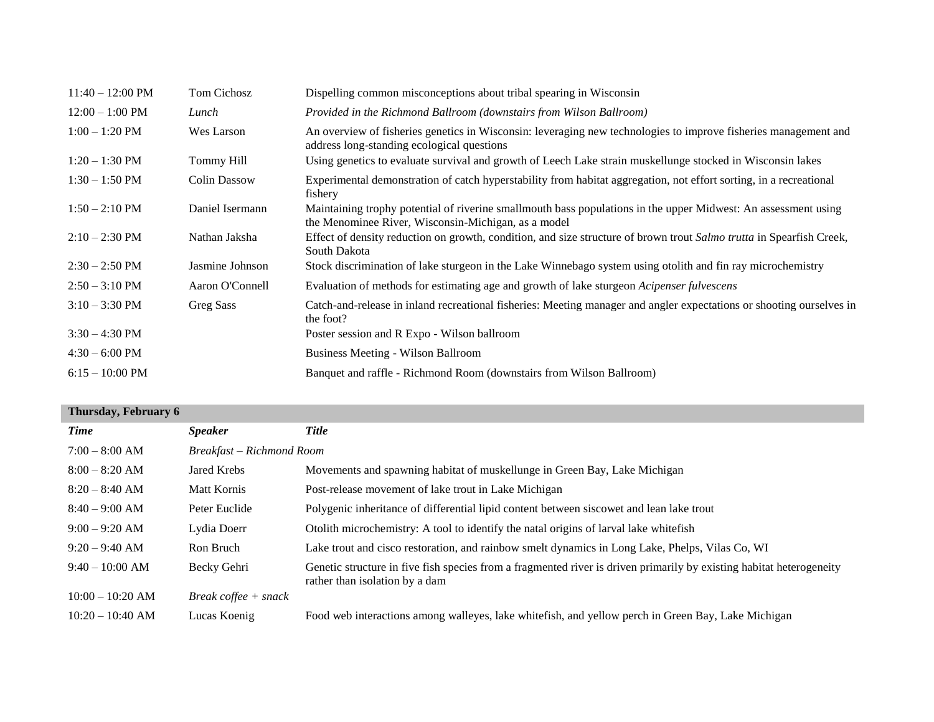| $11:40 - 12:00 \text{ PM}$ | <b>Tom Cichosz</b>  | Dispelling common misconceptions about tribal spearing in Wisconsin                                                                                                   |
|----------------------------|---------------------|-----------------------------------------------------------------------------------------------------------------------------------------------------------------------|
| $12:00 - 1:00$ PM          | Lunch               | Provided in the Richmond Ballroom (downstairs from Wilson Ballroom)                                                                                                   |
| $1:00 - 1:20$ PM           | Wes Larson          | An overview of fisheries genetics in Wisconsin: leveraging new technologies to improve fisheries management and<br>address long-standing ecological questions         |
| $1:20 - 1:30$ PM           | Tommy Hill          | Using genetics to evaluate survival and growth of Leech Lake strain muskellunge stocked in Wisconsin lakes                                                            |
| $1:30 - 1:50$ PM           | <b>Colin Dassow</b> | Experimental demonstration of catch hyperstability from habitat aggregation, not effort sorting, in a recreational<br>fishery                                         |
| $1:50 - 2:10 \text{ PM}$   | Daniel Isermann     | Maintaining trophy potential of riverine smallmouth bass populations in the upper Midwest: An assessment using<br>the Menominee River, Wisconsin-Michigan, as a model |
| $2:10-2:30$ PM             | Nathan Jaksha       | Effect of density reduction on growth, condition, and size structure of brown trout Salmo trutta in Spearfish Creek,<br>South Dakota                                  |
| $2:30 - 2:50$ PM           | Jasmine Johnson     | Stock discrimination of lake sturgeon in the Lake Winnebago system using otolith and fin ray microchemistry                                                           |
| $2:50 - 3:10 \text{ PM}$   | Aaron O'Connell     | Evaluation of methods for estimating age and growth of lake sturgeon <i>Acipenser fulvescens</i>                                                                      |
| $3:10 - 3:30 \text{ PM}$   | Greg Sass           | Catch-and-release in inland recreational fisheries: Meeting manager and angler expectations or shooting ourselves in<br>the foot?                                     |
| $3:30 - 4:30$ PM           |                     | Poster session and R Expo - Wilson ballroom                                                                                                                           |
| $4:30 - 6:00 \text{ PM}$   |                     | Business Meeting - Wilson Ballroom                                                                                                                                    |
| $6:15-10:00$ PM            |                     | Banquet and raffle - Richmond Room (downstairs from Wilson Ballroom)                                                                                                  |

| Thursday, February 6 |                                      |                                                                                                                                                        |
|----------------------|--------------------------------------|--------------------------------------------------------------------------------------------------------------------------------------------------------|
| <b>Time</b>          | <b>Speaker</b>                       | <b>Title</b>                                                                                                                                           |
| $7:00 - 8:00$ AM     | Breakfast – Richmond Room            |                                                                                                                                                        |
| $8:00 - 8:20$ AM     | Jared Krebs                          | Movements and spawning habitat of muskellunge in Green Bay, Lake Michigan                                                                              |
| $8:20 - 8:40$ AM     | Matt Kornis                          | Post-release movement of lake trout in Lake Michigan                                                                                                   |
| $8:40 - 9:00$ AM     | Peter Euclide                        | Polygenic inheritance of differential lipid content between siscowet and lean lake trout                                                               |
| $9:00 - 9:20$ AM     | Lydia Doerr                          | Otolith microchemistry: A tool to identify the natal origins of larval lake white fish                                                                 |
| $9:20 - 9:40$ AM     | Ron Bruch                            | Lake trout and cisco restoration, and rainbow smelt dynamics in Long Lake, Phelps, Vilas Co, WI                                                        |
| $9:40-10:00$ AM      | Becky Gehri                          | Genetic structure in five fish species from a fragmented river is driven primarily by existing habitat heterogeneity<br>rather than isolation by a dam |
| $10:00 - 10:20$ AM   | <i>Break coffee</i> $+$ <i>snack</i> |                                                                                                                                                        |
| $10:20 - 10:40$ AM   | Lucas Koenig                         | Food web interactions among walleyes, lake whitefish, and yellow perch in Green Bay, Lake Michigan                                                     |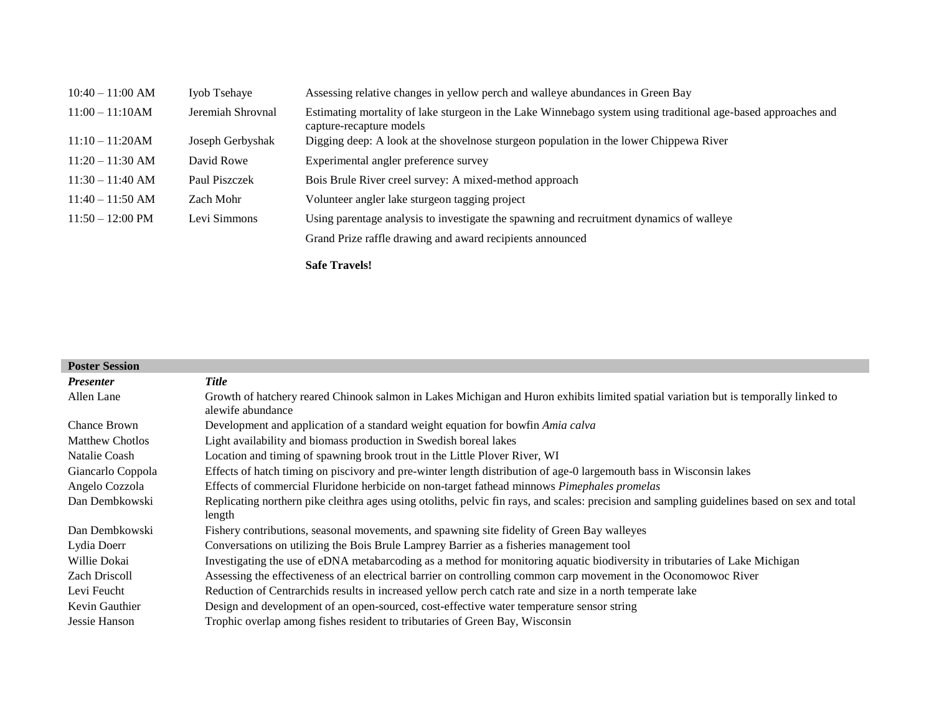| $10:40 - 11:00$ AM         | Ivob Tsehaye      | Assessing relative changes in yellow perch and walleye abundances in Green Bay                                                            |
|----------------------------|-------------------|-------------------------------------------------------------------------------------------------------------------------------------------|
| $11:00 - 11:10AM$          | Jeremiah Shrovnal | Estimating mortality of lake sturgeon in the Lake Winnebago system using traditional age-based approaches and<br>capture-recapture models |
| $11:10 - 11:20AM$          | Joseph Gerbyshak  | Digging deep: A look at the shovelnose sturgeon population in the lower Chippewa River                                                    |
| $11:20 - 11:30$ AM         | David Rowe        | Experimental angler preference survey                                                                                                     |
| $11:30 - 11:40$ AM         | Paul Piszczek     | Bois Brule River creel survey: A mixed-method approach                                                                                    |
| $11:40 - 11:50$ AM         | Zach Mohr         | Volunteer angler lake sturgeon tagging project                                                                                            |
| $11:50 - 12:00 \text{ PM}$ | Levi Simmons      | Using parentage analysis to investigate the spawning and recruitment dynamics of walleye                                                  |
|                            |                   | Grand Prize raffle drawing and award recipients announced                                                                                 |
|                            |                   |                                                                                                                                           |

**Safe Travels!**

| <b>Poster Session</b>  |                                                                                                                                                          |
|------------------------|----------------------------------------------------------------------------------------------------------------------------------------------------------|
| <b>Presenter</b>       | <b>Title</b>                                                                                                                                             |
| Allen Lane             | Growth of hatchery reared Chinook salmon in Lakes Michigan and Huron exhibits limited spatial variation but is temporally linked to<br>alewife abundance |
| <b>Chance Brown</b>    | Development and application of a standard weight equation for bowfin Amia calva                                                                          |
| <b>Matthew Chotlos</b> | Light availability and biomass production in Swedish boreal lakes                                                                                        |
| Natalie Coash          | Location and timing of spawning brook trout in the Little Plover River, WI                                                                               |
| Giancarlo Coppola      | Effects of hatch timing on piscivory and pre-winter length distribution of age-0 largemouth bass in Wisconsin lakes                                      |
| Angelo Cozzola         | Effects of commercial Fluridone herbicide on non-target fathead minnows Pimephales promelas                                                              |
| Dan Dembkowski         | Replicating northern pike cleithra ages using otoliths, pelvic fin rays, and scales: precision and sampling guidelines based on sex and total<br>length  |
| Dan Dembkowski         | Fishery contributions, seasonal movements, and spawning site fidelity of Green Bay walleyes                                                              |
| Lydia Doerr            | Conversations on utilizing the Bois Brule Lamprey Barrier as a fisheries management tool                                                                 |
| Willie Dokai           | Investigating the use of eDNA metabarcoding as a method for monitoring aquatic biodiversity in tributaries of Lake Michigan                              |
| <b>Zach Driscoll</b>   | Assessing the effectiveness of an electrical barrier on controlling common carp movement in the Oconomowoc River                                         |
| Levi Feucht            | Reduction of Centrarchids results in increased yellow perch catch rate and size in a north temperate lake                                                |
| Kevin Gauthier         | Design and development of an open-sourced, cost-effective water temperature sensor string                                                                |
| Jessie Hanson          | Trophic overlap among fishes resident to tributaries of Green Bay, Wisconsin                                                                             |